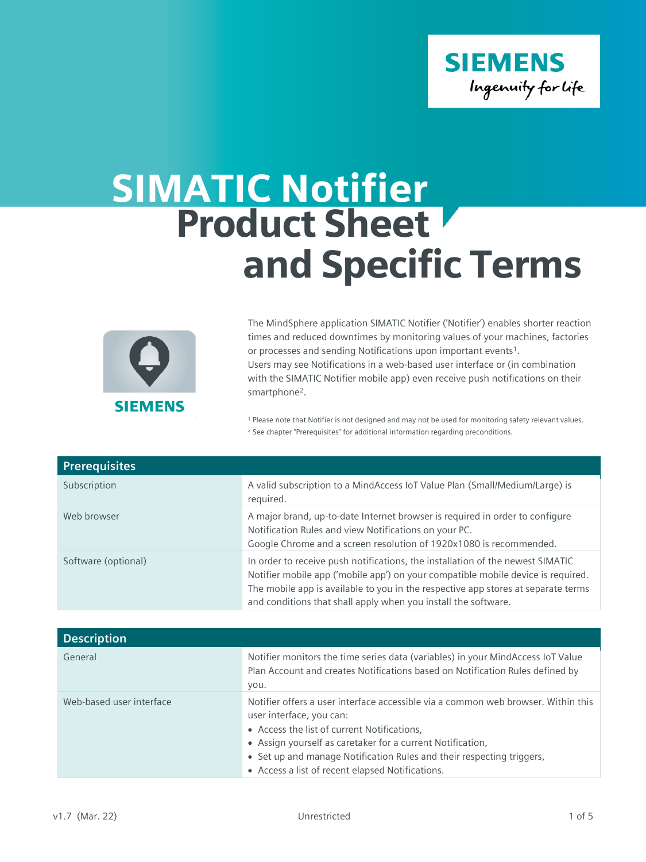

## SIMATIC Notifier Product Sheet and Specific Terms



The MindSphere application SIMATIC Notifier ('Notifier') enables shorter reaction times and reduced downtimes by monitoring values of your machines, factories or processes and sending Notifications upon important events<sup>1</sup>. Users may see Notifications in a web-based user interface or (in combination with the SIMATIC Notifier mobile app) even receive push notifications on their smartphone<sup>2</sup>.

<sup>1</sup> Please note that Notifier is not designed and may not be used for monitoring safety relevant values. <sup>2</sup> See chapter "Prerequisites" for additional information regarding preconditions.

| <b>Prerequisites</b> |                                                                                                                                                                                                                                                                                                                           |
|----------------------|---------------------------------------------------------------------------------------------------------------------------------------------------------------------------------------------------------------------------------------------------------------------------------------------------------------------------|
| Subscription         | A valid subscription to a MindAccess IoT Value Plan (Small/Medium/Large) is<br>required.                                                                                                                                                                                                                                  |
| Web browser          | A major brand, up-to-date Internet browser is required in order to configure<br>Notification Rules and view Notifications on your PC.<br>Google Chrome and a screen resolution of 1920x1080 is recommended.                                                                                                               |
| Software (optional)  | In order to receive push notifications, the installation of the newest SIMATIC<br>Notifier mobile app ('mobile app') on your compatible mobile device is required.<br>The mobile app is available to you in the respective app stores at separate terms<br>and conditions that shall apply when you install the software. |

| <b>Description</b>       |                                                                                                                                                                                                                                                                                                                                                         |
|--------------------------|---------------------------------------------------------------------------------------------------------------------------------------------------------------------------------------------------------------------------------------------------------------------------------------------------------------------------------------------------------|
| General                  | Notifier monitors the time series data (variables) in your MindAccess IoT Value<br>Plan Account and creates Notifications based on Notification Rules defined by<br>you.                                                                                                                                                                                |
| Web-based user interface | Notifier offers a user interface accessible via a common web browser. Within this<br>user interface, you can:<br>• Access the list of current Notifications,<br>• Assign yourself as caretaker for a current Notification,<br>• Set up and manage Notification Rules and their respecting triggers,<br>• Access a list of recent elapsed Notifications. |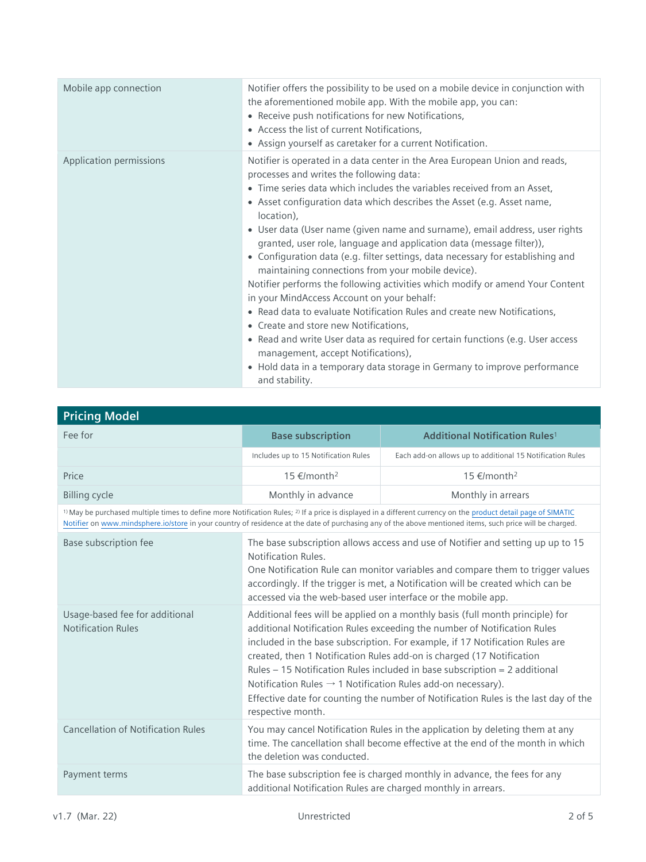| Mobile app connection   | Notifier offers the possibility to be used on a mobile device in conjunction with<br>the aforementioned mobile app. With the mobile app, you can:<br>• Receive push notifications for new Notifications,<br>• Access the list of current Notifications,<br>• Assign yourself as caretaker for a current Notification.                                                                                                                                                                                                                                                                                                                                                                                                                                                                                                                                                                                                                                                                                                                                                |
|-------------------------|----------------------------------------------------------------------------------------------------------------------------------------------------------------------------------------------------------------------------------------------------------------------------------------------------------------------------------------------------------------------------------------------------------------------------------------------------------------------------------------------------------------------------------------------------------------------------------------------------------------------------------------------------------------------------------------------------------------------------------------------------------------------------------------------------------------------------------------------------------------------------------------------------------------------------------------------------------------------------------------------------------------------------------------------------------------------|
| Application permissions | Notifier is operated in a data center in the Area European Union and reads,<br>processes and writes the following data:<br>• Time series data which includes the variables received from an Asset,<br>• Asset configuration data which describes the Asset (e.g. Asset name,<br>location),<br>• User data (User name (given name and surname), email address, user rights<br>granted, user role, language and application data (message filter)),<br>• Configuration data (e.g. filter settings, data necessary for establishing and<br>maintaining connections from your mobile device).<br>Notifier performs the following activities which modify or amend Your Content<br>in your MindAccess Account on your behalf:<br>• Read data to evaluate Notification Rules and create new Notifications,<br>• Create and store new Notifications,<br>• Read and write User data as required for certain functions (e.g. User access<br>management, accept Notifications),<br>• Hold data in a temporary data storage in Germany to improve performance<br>and stability. |

| <b>Pricing Model</b>                                                                                                                                                                                                                                                                                                                             |                                                                                                                                                                                                                                                                                                                                                                                                                                                                                                                                                                                          |                                                                                                                                                                |
|--------------------------------------------------------------------------------------------------------------------------------------------------------------------------------------------------------------------------------------------------------------------------------------------------------------------------------------------------|------------------------------------------------------------------------------------------------------------------------------------------------------------------------------------------------------------------------------------------------------------------------------------------------------------------------------------------------------------------------------------------------------------------------------------------------------------------------------------------------------------------------------------------------------------------------------------------|----------------------------------------------------------------------------------------------------------------------------------------------------------------|
| Fee for                                                                                                                                                                                                                                                                                                                                          | <b>Base subscription</b>                                                                                                                                                                                                                                                                                                                                                                                                                                                                                                                                                                 | <b>Additional Notification Rules<sup>1</sup></b>                                                                                                               |
|                                                                                                                                                                                                                                                                                                                                                  | Includes up to 15 Notification Rules                                                                                                                                                                                                                                                                                                                                                                                                                                                                                                                                                     | Each add-on allows up to additional 15 Notification Rules                                                                                                      |
| Price                                                                                                                                                                                                                                                                                                                                            | 15 €/month <sup>2</sup>                                                                                                                                                                                                                                                                                                                                                                                                                                                                                                                                                                  | 15 €/month <sup>2</sup>                                                                                                                                        |
| <b>Billing cycle</b>                                                                                                                                                                                                                                                                                                                             | Monthly in advance                                                                                                                                                                                                                                                                                                                                                                                                                                                                                                                                                                       | Monthly in arrears                                                                                                                                             |
| <sup>1)</sup> May be purchased multiple times to define more Notification Rules; <sup>2)</sup> If a price is displayed in a different currency on the product detail page of SIMATIC<br>Notifier on www.mindsphere.io/store in your country of residence at the date of purchasing any of the above mentioned items, such price will be charged. |                                                                                                                                                                                                                                                                                                                                                                                                                                                                                                                                                                                          |                                                                                                                                                                |
| Base subscription fee                                                                                                                                                                                                                                                                                                                            | The base subscription allows access and use of Notifier and setting up up to 15<br>Notification Rules.<br>One Notification Rule can monitor variables and compare them to trigger values<br>accordingly. If the trigger is met, a Notification will be created which can be<br>accessed via the web-based user interface or the mobile app.                                                                                                                                                                                                                                              |                                                                                                                                                                |
| Usage-based fee for additional<br><b>Notification Rules</b>                                                                                                                                                                                                                                                                                      | Additional fees will be applied on a monthly basis (full month principle) for<br>additional Notification Rules exceeding the number of Notification Rules<br>included in the base subscription. For example, if 17 Notification Rules are<br>created, then 1 Notification Rules add-on is charged (17 Notification<br>Rules - 15 Notification Rules included in base subscription = 2 additional<br>Notification Rules $\rightarrow$ 1 Notification Rules add-on necessary).<br>Effective date for counting the number of Notification Rules is the last day of the<br>respective month. |                                                                                                                                                                |
| <b>Cancellation of Notification Rules</b>                                                                                                                                                                                                                                                                                                        | the deletion was conducted.                                                                                                                                                                                                                                                                                                                                                                                                                                                                                                                                                              | You may cancel Notification Rules in the application by deleting them at any<br>time. The cancellation shall become effective at the end of the month in which |
| Payment terms                                                                                                                                                                                                                                                                                                                                    | additional Notification Rules are charged monthly in arrears.                                                                                                                                                                                                                                                                                                                                                                                                                                                                                                                            | The base subscription fee is charged monthly in advance, the fees for any                                                                                      |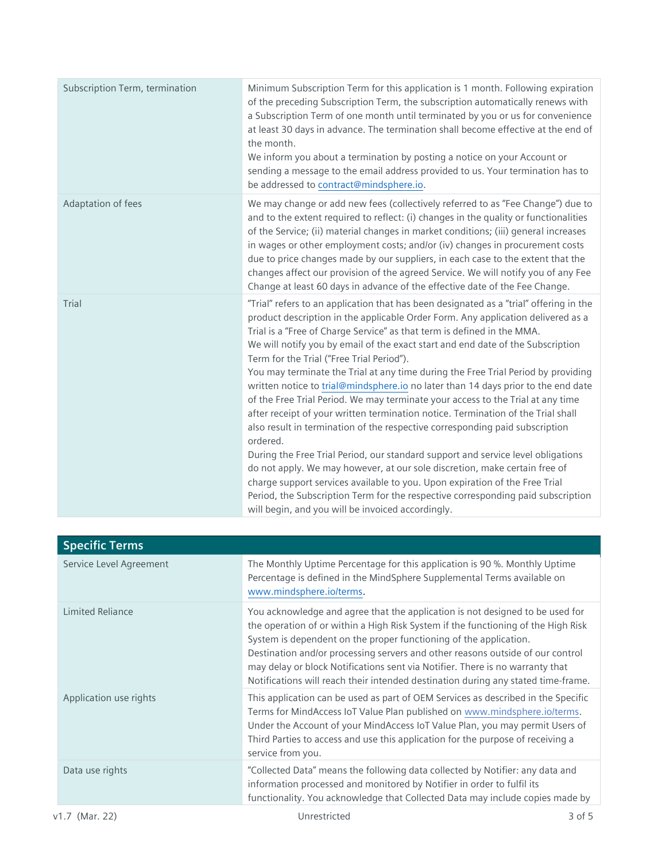| Subscription Term, termination | Minimum Subscription Term for this application is 1 month. Following expiration<br>of the preceding Subscription Term, the subscription automatically renews with<br>a Subscription Term of one month until terminated by you or us for convenience<br>at least 30 days in advance. The termination shall become effective at the end of<br>the month.<br>We inform you about a termination by posting a notice on your Account or<br>sending a message to the email address provided to us. Your termination has to<br>be addressed to contract@mindsphere.io.                                                                                                                                                                                                                                                                                                                                                                                                                                                                                                                                                                                                                                                              |
|--------------------------------|------------------------------------------------------------------------------------------------------------------------------------------------------------------------------------------------------------------------------------------------------------------------------------------------------------------------------------------------------------------------------------------------------------------------------------------------------------------------------------------------------------------------------------------------------------------------------------------------------------------------------------------------------------------------------------------------------------------------------------------------------------------------------------------------------------------------------------------------------------------------------------------------------------------------------------------------------------------------------------------------------------------------------------------------------------------------------------------------------------------------------------------------------------------------------------------------------------------------------|
| Adaptation of fees             | We may change or add new fees (collectively referred to as "Fee Change") due to<br>and to the extent required to reflect: (i) changes in the quality or functionalities<br>of the Service; (ii) material changes in market conditions; (iii) general increases<br>in wages or other employment costs; and/or (iv) changes in procurement costs<br>due to price changes made by our suppliers, in each case to the extent that the<br>changes affect our provision of the agreed Service. We will notify you of any Fee<br>Change at least 60 days in advance of the effective date of the Fee Change.                                                                                                                                                                                                                                                                                                                                                                                                                                                                                                                                                                                                                        |
| Trial                          | "Trial" refers to an application that has been designated as a "trial" offering in the<br>product description in the applicable Order Form. Any application delivered as a<br>Trial is a "Free of Charge Service" as that term is defined in the MMA.<br>We will notify you by email of the exact start and end date of the Subscription<br>Term for the Trial ("Free Trial Period").<br>You may terminate the Trial at any time during the Free Trial Period by providing<br>written notice to trial@mindsphere.io no later than 14 days prior to the end date<br>of the Free Trial Period. We may terminate your access to the Trial at any time<br>after receipt of your written termination notice. Termination of the Trial shall<br>also result in termination of the respective corresponding paid subscription<br>ordered.<br>During the Free Trial Period, our standard support and service level obligations<br>do not apply. We may however, at our sole discretion, make certain free of<br>charge support services available to you. Upon expiration of the Free Trial<br>Period, the Subscription Term for the respective corresponding paid subscription<br>will begin, and you will be invoiced accordingly. |

| <b>Specific Terms</b>   |                                                                                                                                                                                                                                                                                                                                                                                                                                                                                                 |
|-------------------------|-------------------------------------------------------------------------------------------------------------------------------------------------------------------------------------------------------------------------------------------------------------------------------------------------------------------------------------------------------------------------------------------------------------------------------------------------------------------------------------------------|
| Service Level Agreement | The Monthly Uptime Percentage for this application is 90 %. Monthly Uptime<br>Percentage is defined in the MindSphere Supplemental Terms available on<br>www.mindsphere.io/terms.                                                                                                                                                                                                                                                                                                               |
| <b>Limited Reliance</b> | You acknowledge and agree that the application is not designed to be used for<br>the operation of or within a High Risk System if the functioning of the High Risk<br>System is dependent on the proper functioning of the application.<br>Destination and/or processing servers and other reasons outside of our control<br>may delay or block Notifications sent via Notifier. There is no warranty that<br>Notifications will reach their intended destination during any stated time-frame. |
| Application use rights  | This application can be used as part of OEM Services as described in the Specific<br>Terms for MindAccess IoT Value Plan published on www.mindsphere.io/terms.<br>Under the Account of your MindAccess IoT Value Plan, you may permit Users of<br>Third Parties to access and use this application for the purpose of receiving a<br>service from you.                                                                                                                                          |
| Data use rights         | "Collected Data" means the following data collected by Notifier: any data and<br>information processed and monitored by Notifier in order to fulfil its<br>functionality. You acknowledge that Collected Data may include copies made by                                                                                                                                                                                                                                                        |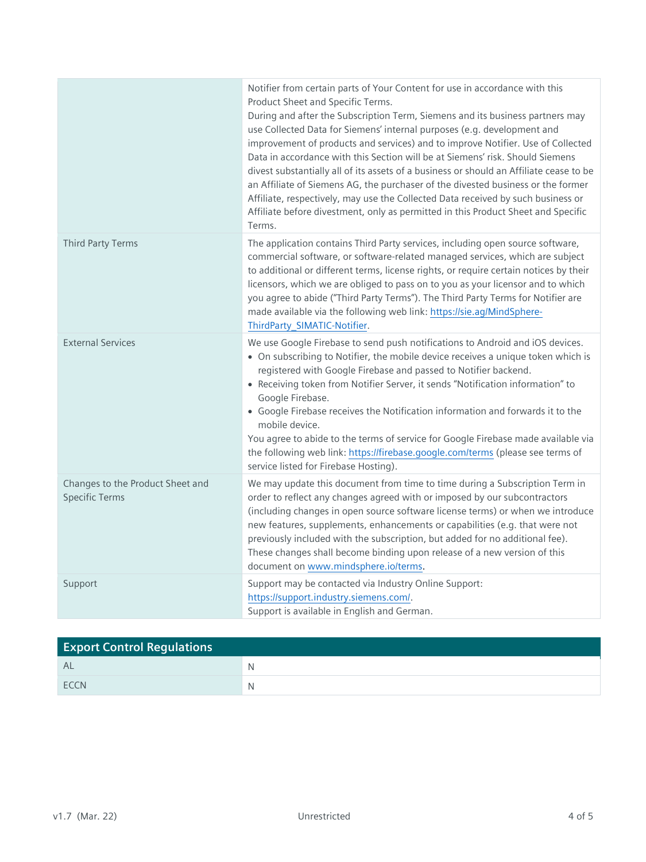|                                                           | Notifier from certain parts of Your Content for use in accordance with this<br>Product Sheet and Specific Terms.<br>During and after the Subscription Term, Siemens and its business partners may<br>use Collected Data for Siemens' internal purposes (e.g. development and<br>improvement of products and services) and to improve Notifier. Use of Collected<br>Data in accordance with this Section will be at Siemens' risk. Should Siemens<br>divest substantially all of its assets of a business or should an Affiliate cease to be<br>an Affiliate of Siemens AG, the purchaser of the divested business or the former<br>Affiliate, respectively, may use the Collected Data received by such business or<br>Affiliate before divestment, only as permitted in this Product Sheet and Specific<br>Terms. |
|-----------------------------------------------------------|--------------------------------------------------------------------------------------------------------------------------------------------------------------------------------------------------------------------------------------------------------------------------------------------------------------------------------------------------------------------------------------------------------------------------------------------------------------------------------------------------------------------------------------------------------------------------------------------------------------------------------------------------------------------------------------------------------------------------------------------------------------------------------------------------------------------|
| <b>Third Party Terms</b>                                  | The application contains Third Party services, including open source software,<br>commercial software, or software-related managed services, which are subject<br>to additional or different terms, license rights, or require certain notices by their<br>licensors, which we are obliged to pass on to you as your licensor and to which<br>you agree to abide ("Third Party Terms"). The Third Party Terms for Notifier are<br>made available via the following web link: https://sie.ag/MindSphere-<br>ThirdParty SIMATIC-Notifier.                                                                                                                                                                                                                                                                            |
| <b>External Services</b>                                  | We use Google Firebase to send push notifications to Android and iOS devices.<br>• On subscribing to Notifier, the mobile device receives a unique token which is<br>registered with Google Firebase and passed to Notifier backend.<br>• Receiving token from Notifier Server, it sends "Notification information" to<br>Google Firebase.<br>• Google Firebase receives the Notification information and forwards it to the<br>mobile device.<br>You agree to abide to the terms of service for Google Firebase made available via<br>the following web link: https://firebase.google.com/terms (please see terms of<br>service listed for Firebase Hosting).                                                                                                                                                     |
| Changes to the Product Sheet and<br><b>Specific Terms</b> | We may update this document from time to time during a Subscription Term in<br>order to reflect any changes agreed with or imposed by our subcontractors<br>(including changes in open source software license terms) or when we introduce<br>new features, supplements, enhancements or capabilities (e.g. that were not<br>previously included with the subscription, but added for no additional fee).<br>These changes shall become binding upon release of a new version of this<br>document on www.mindsphere.io/terms.                                                                                                                                                                                                                                                                                      |
| Support                                                   | Support may be contacted via Industry Online Support:<br>https://support.industry.siemens.com/.<br>Support is available in English and German.                                                                                                                                                                                                                                                                                                                                                                                                                                                                                                                                                                                                                                                                     |

| <b>Export Control Regulations</b> |  |
|-----------------------------------|--|
| AL                                |  |
| <b>FCCN</b>                       |  |